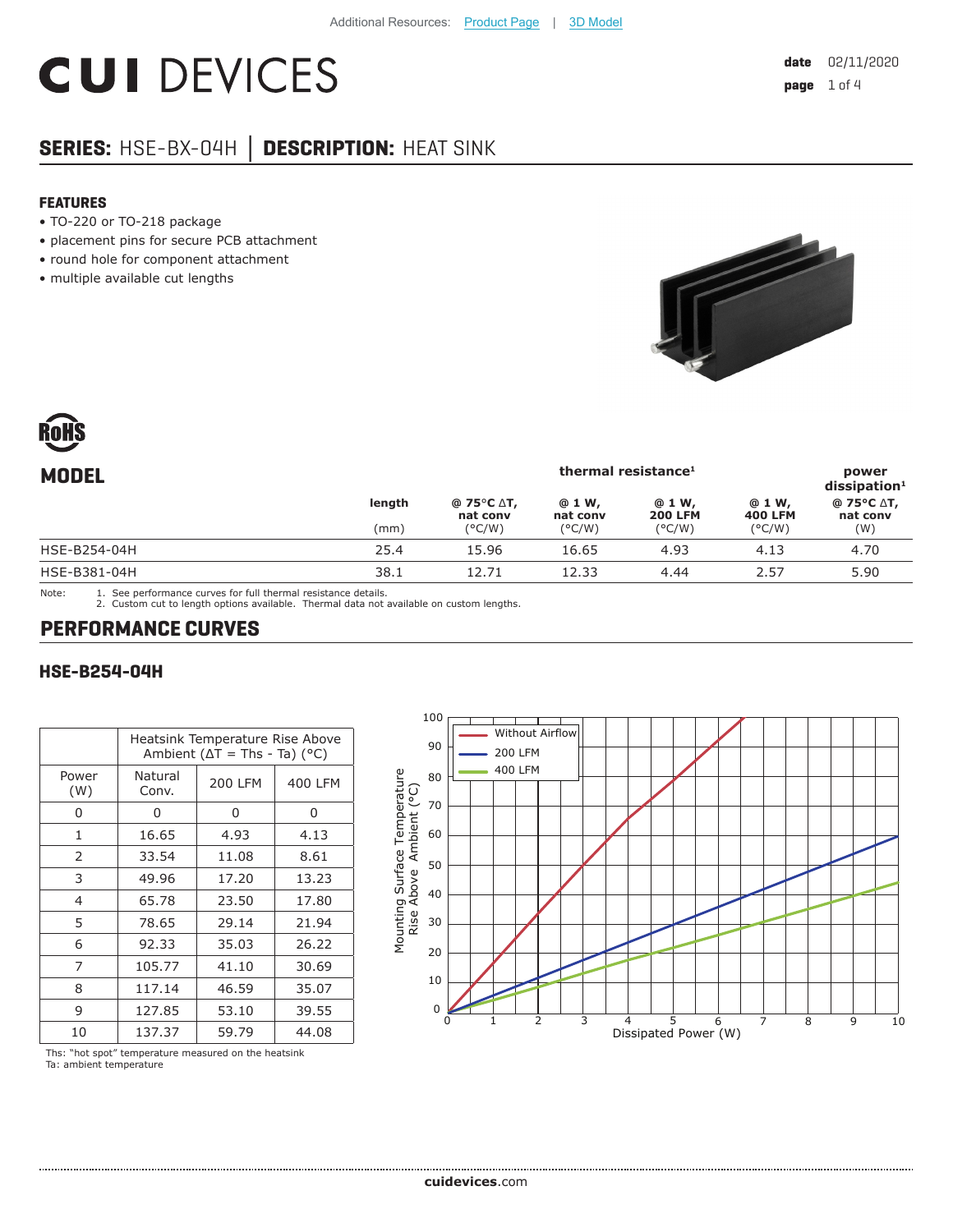# **CUI DEVICES**

## **SERIES:** HSE-BX-04H **│ DESCRIPTION:** HEAT SINK

#### **FEATURES**

- TO-220 or TO-218 package
- placement pins for secure PCB attachment
- round hole for component attachment
- multiple available cut lengths





| thermal resistance <sup>1</sup> |                        |                    |                          | power<br>$dis$ sipation <sup>1</sup> |                               |
|---------------------------------|------------------------|--------------------|--------------------------|--------------------------------------|-------------------------------|
| length<br>(mm)                  | @ 75°C ∆T,<br>nat conv | @ 1 W,<br>nat conv | @ 1 W,<br><b>200 LFM</b> | @ 1 W,<br><b>400 LFM</b>             | @ 75°C ∆T,<br>nat conv<br>(W) |
| 25.4                            | 15.96                  | 16.65              | 4.93                     | 4.13                                 | 4.70                          |
| 38.1                            | 12.71                  | 12.33              | 4.44                     | 2.57                                 | 5.90                          |
|                                 |                        | (°C/W)             | $(^{\circ}C/W)$          | $(^{\circ}C/W)$                      | $(^{\circ}C/W)$               |

Note: 1. See performance curves for full thermal resistance details.

2. Custom cut to length options available. Thermal data not available on custom lengths.

## **PERFORMANCE CURVES**

#### **HSE-B254-04H**

|                | Heatsink Temperature Rise Above<br>Ambient ( $\Delta T$ = Ths - Ta) (°C) |                |         |  |
|----------------|--------------------------------------------------------------------------|----------------|---------|--|
| Power<br>(W)   | Natural<br>Conv.                                                         | <b>200 LFM</b> | 400 LFM |  |
| n              | ი                                                                        | 0              | 0       |  |
| 1              | 16.65                                                                    | 4.93           | 4.13    |  |
| 2              | 33.54                                                                    | 11.08          | 8.61    |  |
| 3              | 49.96                                                                    | 17.20          | 13.23   |  |
| $\overline{4}$ | 65.78                                                                    | 23.50          | 17.80   |  |
| 5              | 78.65                                                                    | 29.14          | 21.94   |  |
| 6              | 92.33                                                                    | 35.03          | 26.22   |  |
| 7              | 105.77                                                                   | 41.10          | 30.69   |  |
| 8              | 117.14                                                                   | 46.59          | 35.07   |  |
| 9              | 127.85                                                                   | 53.10          | 39.55   |  |
| 10             | 137.37                                                                   | 59.79          | 44.08   |  |



Ths: "hot spot" temperature measured on the heatsink Ta: ambient temperature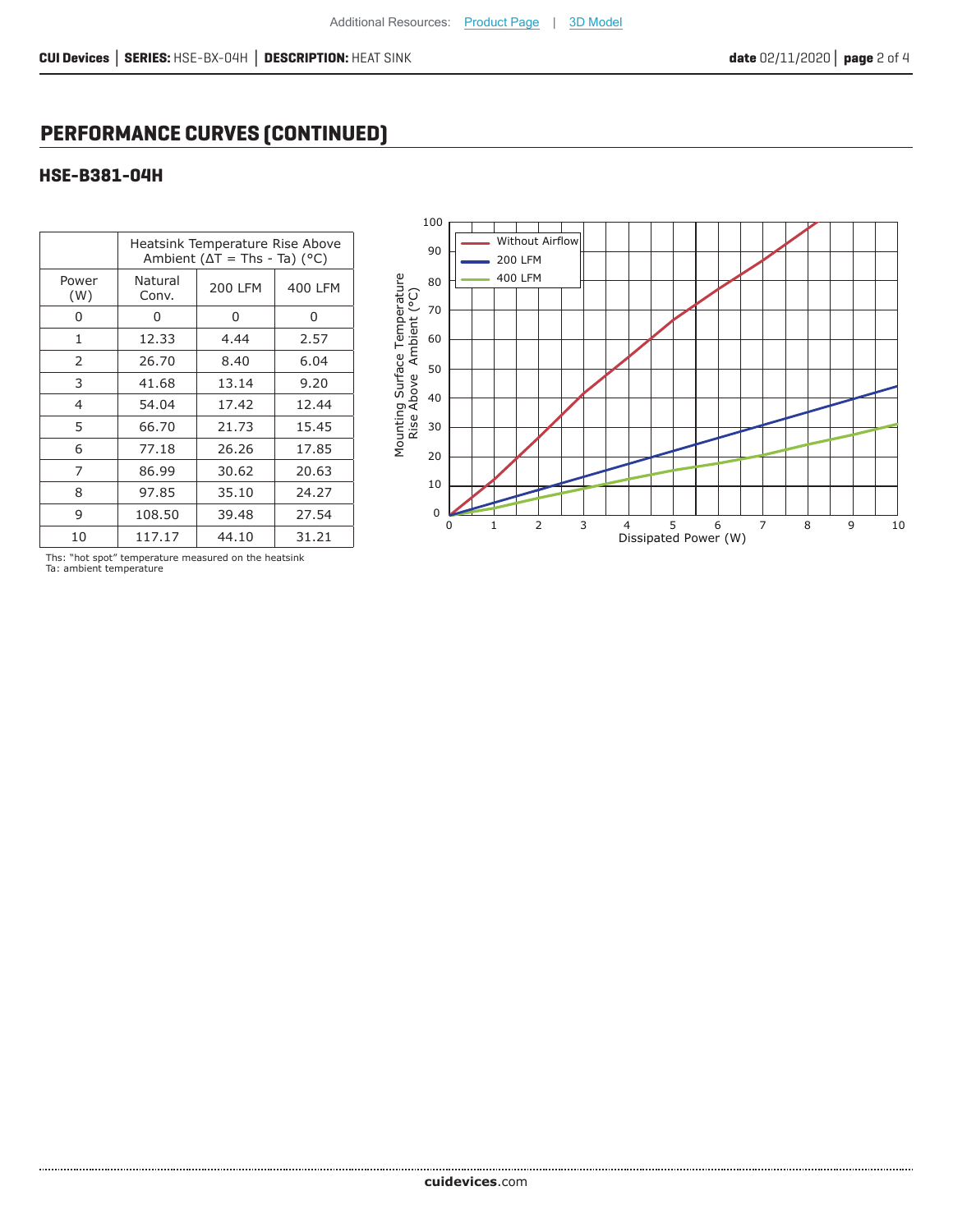## **PERFORMANCE CURVES (CONTINUED)**

### **HSE-B381-04H**

|                | Heatsink Temperature Rise Above<br>Ambient ( $\Delta T$ = Ths - Ta) (°C) |                |         |  |
|----------------|--------------------------------------------------------------------------|----------------|---------|--|
| Power<br>(W)   | Natural<br>Conv.                                                         | <b>200 LFM</b> | 400 LFM |  |
| ი              | 0                                                                        | 0              | 0       |  |
| 1              | 12.33                                                                    | 4.44           | 2.57    |  |
| 2              | 26.70                                                                    | 8.40           | 6.04    |  |
| 3              | 41.68                                                                    | 13.14          | 9.20    |  |
| $\overline{4}$ | 54.04                                                                    | 17.42          | 12.44   |  |
| 5              | 66.70                                                                    | 21.73          | 15.45   |  |
| 6              | 77.18                                                                    | 26.26          | 17.85   |  |
| 7              | 86.99                                                                    | 30.62          | 20.63   |  |
| 8              | 97.85                                                                    | 35.10          | 24.27   |  |
| 9              | 108.50                                                                   | 39.48          | 27.54   |  |
| 10             | 117.17                                                                   | 44.10          | 31.21   |  |



Ths: "hot spot" temperature measured on the heatsink Ta: ambient temperature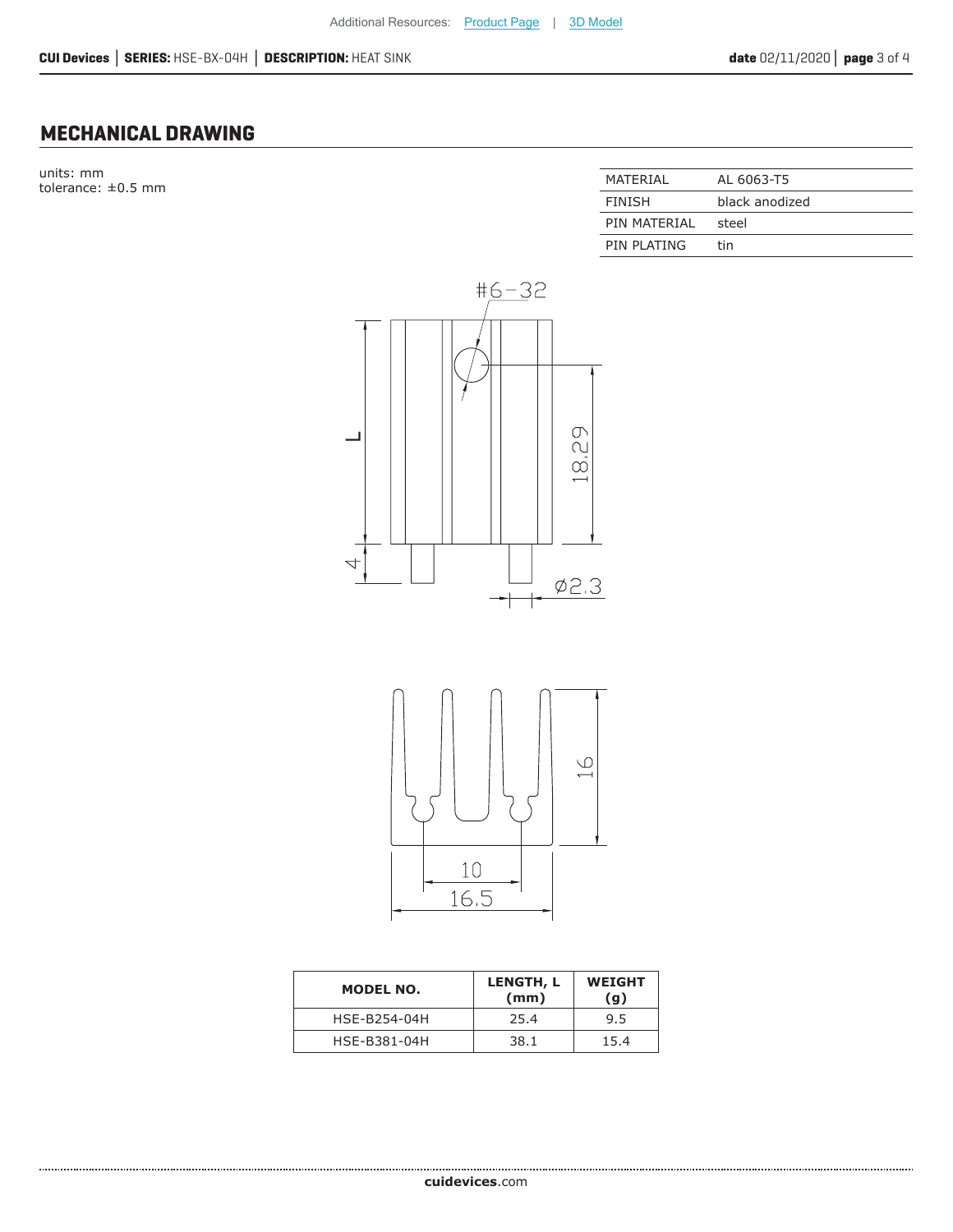## **MECHANICAL DRAWING**

units: mm  $t$ olerance:  $\pm 0.5$  mm

| MATFRIAI     | AL 6063-T5     |
|--------------|----------------|
| FINISH       | black anodized |
| PIN MATFRIAI | steel          |
| PIN PLATING  | tin            |





| <b>MODEL NO.</b> | LENGTH, L<br>(mm) | <b>WEIGHT</b><br>(g) |
|------------------|-------------------|----------------------|
| HSE-B254-04H     | 25.4              | 9.5                  |
| HSE-B381-04H     | 38.1              | 15.4                 |